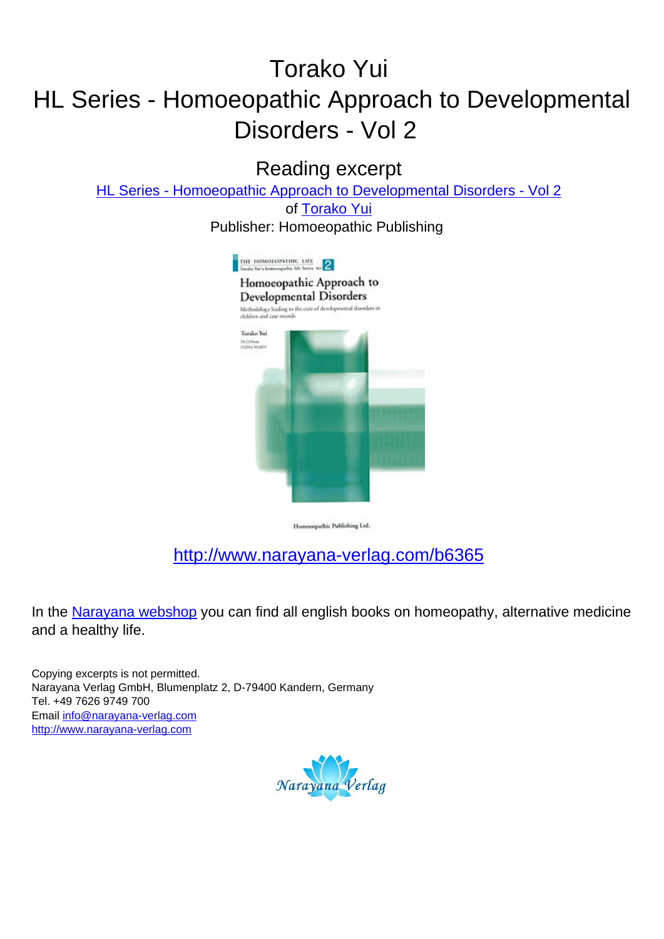# Torako Yui HL Series - Homoeopathic Approach to Developmental Disorders - Vol 2

Reading excerpt

[HL Series - Homoeopathic Approach to Developmental Disorders - Vol 2](http://www.narayana-verlag.com/HL-Series-Homoeopathic-Approach-to-Developmental-Disorders-Vol-2-Torako-Yui/b6365/partner/leseprobe)

of [Torako Yui](http://www.narayana-verlag.com/Torako-Yui/a1968/partner/leseprobe) Publisher: Homoeopathic Publishing



Homoeopathic Publishing Ltd.

# [http://www.narayana-verlag.com/b6365](http://www.narayana-verlag.com/HL-Series-Homoeopathic-Approach-to-Developmental-Disorders-Vol-2-Torako-Yui/b6365/partner/leseprobe)

In the [Narayana webshop](http://www.narayana-verlag.com/partner/leseprobe) you can find all english books on homeopathy, alternative medicine and a healthy life.

Copying excerpts is not permitted. Narayana Verlag GmbH, Blumenplatz 2, D-79400 Kandern, Germany Tel. +49 7626 9749 700 Email [info@narayana-verlag.com](mailto:info@narayana-verlag.com) [http://www.narayana-verlag.com](http://www.narayana-verlag.com/partner/leseprobe)

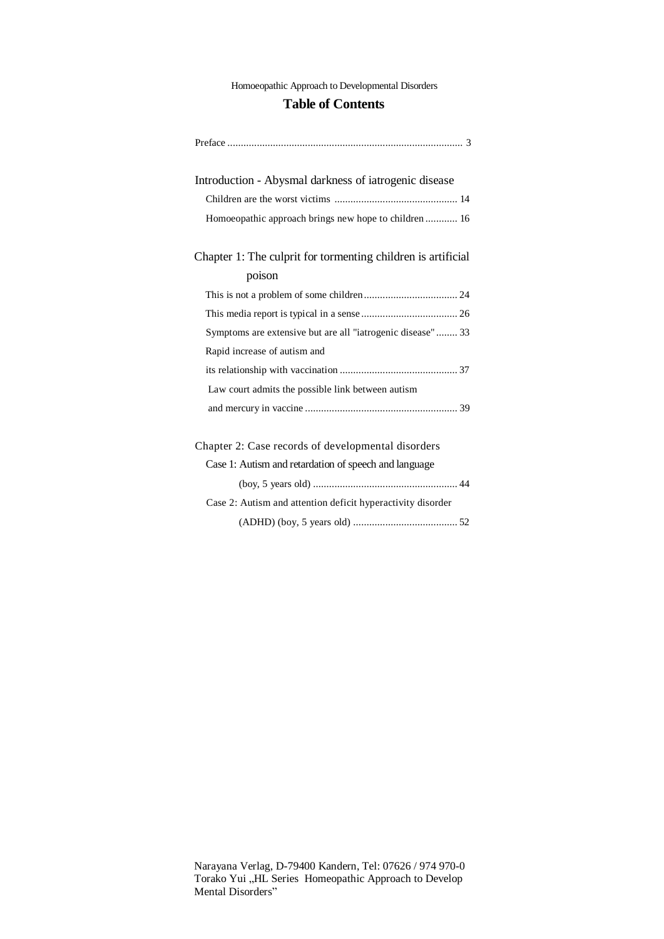Homoeopathic Approach to Developmental Disorders

#### **Table of Contents**

| Introduction - Abysmal darkness of iatrogenic disease        |
|--------------------------------------------------------------|
|                                                              |
| Homoeopathic approach brings new hope to children 16         |
| Chapter 1: The culprit for tormenting children is artificial |
| poison                                                       |
|                                                              |
|                                                              |
| Symptoms are extensive but are all "iatrogenic disease" 33   |
| Rapid increase of autism and                                 |
|                                                              |
| Law court admits the possible link between autism            |
|                                                              |
| Chapter 2: Case records of developmental disorders           |
| Case 1: Autism and retardation of speech and language        |
|                                                              |
| Case 2: Autism and attention deficit hyperactivity disorder  |
|                                                              |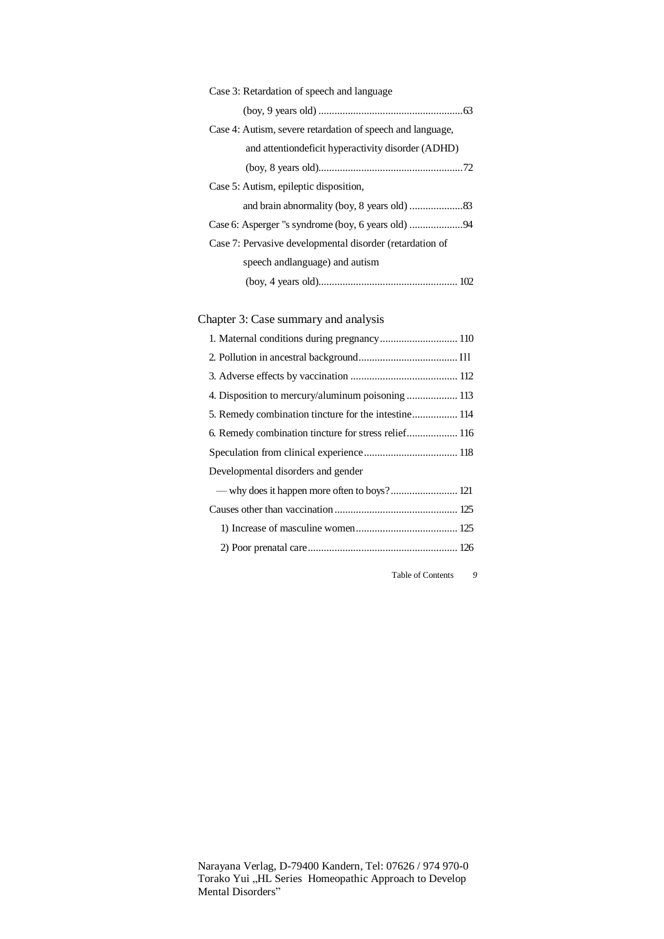| Case 3: Retardation of speech and language                 |
|------------------------------------------------------------|
|                                                            |
| Case 4: Autism, severe retardation of speech and language, |
| and attention deficit hyperactivity disorder (ADHD)        |
|                                                            |
| Case 5: Autism, epileptic disposition,                     |
|                                                            |
|                                                            |
| Case 7: Pervasive developmental disorder (retardation of   |
| speech and language) and autism                            |
|                                                            |

# Chapter 3: Case summary and analysis

| 1. Maternal conditions during pregnancy 110          |
|------------------------------------------------------|
|                                                      |
|                                                      |
|                                                      |
| 5. Remedy combination tincture for the intestine 114 |
| 6. Remedy combination tincture for stress relief 116 |
|                                                      |
| Developmental disorders and gender                   |
| - why does it happen more often to boys? 121         |
|                                                      |
|                                                      |
|                                                      |
|                                                      |

Table of Contents *9*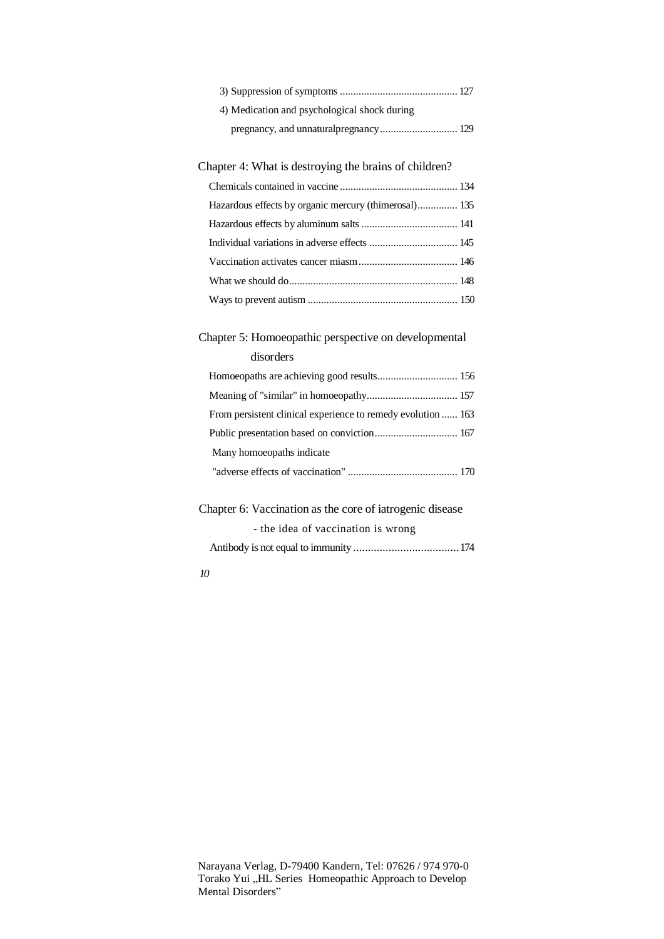| 4) Medication and psychological shock during |
|----------------------------------------------|
|                                              |

#### Chapter 4: What is destroying the brains of children?

| Hazardous effects by organic mercury (thimerosal) 135 |  |
|-------------------------------------------------------|--|
|                                                       |  |
|                                                       |  |
|                                                       |  |
|                                                       |  |
|                                                       |  |

# Chapter 5: Homoeopathic perspective on developmental

#### disorders

| From persistent clinical experience to remedy evolution  163 |
|--------------------------------------------------------------|
|                                                              |
| Many homoeopaths indicate                                    |
|                                                              |

## Chapter 6: Vaccination as the core of iatrogenic disease

| - the idea of vaccination is wrong |  |
|------------------------------------|--|
|                                    |  |

*10*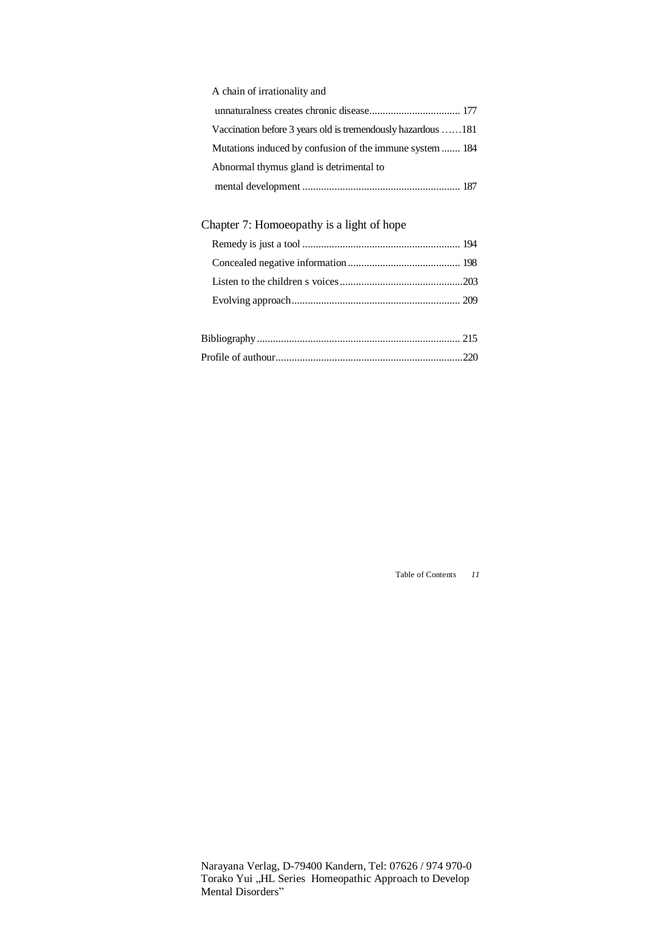| A chain of irrationality and                                 |
|--------------------------------------------------------------|
|                                                              |
| Vaccination before 3 years old is tremendously hazardous 181 |
| Mutations induced by confusion of the immune system  184     |
| Abnormal thymus gland is detrimental to                      |
|                                                              |

## Chapter 7: Homoeopathy is a light of hope

Table of Contents *11*